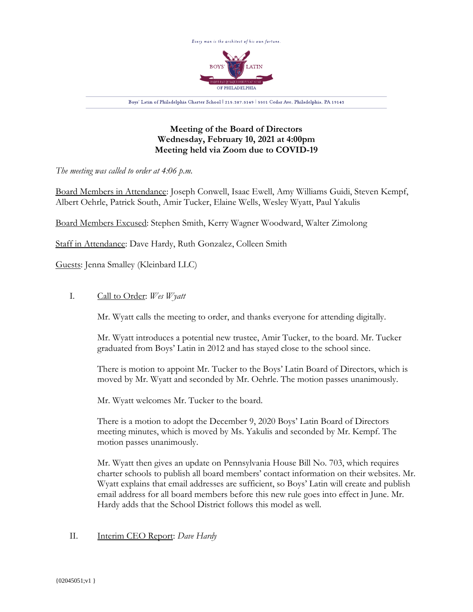

**Meeting of the Board of Directors Wednesday, February 10, 2021 at 4:00pm Meeting held via Zoom due to COVID-19**

*The meeting was called to order at 4:06 p.m.*

Board Members in Attendance: Joseph Conwell, Isaac Ewell, Amy Williams Guidi, Steven Kempf, Albert Oehrle, Patrick South, Amir Tucker, Elaine Wells, Wesley Wyatt, Paul Yakulis

Board Members Excused: Stephen Smith, Kerry Wagner Woodward, Walter Zimolong

Staff in Attendance: Dave Hardy, Ruth Gonzalez, Colleen Smith

Guests: Jenna Smalley (Kleinbard LLC)

# I. Call to Order: *Wes Wyatt*

Mr. Wyatt calls the meeting to order, and thanks everyone for attending digitally.

Mr. Wyatt introduces a potential new trustee, Amir Tucker, to the board. Mr. Tucker graduated from Boys' Latin in 2012 and has stayed close to the school since.

There is motion to appoint Mr. Tucker to the Boys' Latin Board of Directors, which is moved by Mr. Wyatt and seconded by Mr. Oehrle. The motion passes unanimously.

Mr. Wyatt welcomes Mr. Tucker to the board.

There is a motion to adopt the December 9, 2020 Boys' Latin Board of Directors meeting minutes, which is moved by Ms. Yakulis and seconded by Mr. Kempf. The motion passes unanimously.

Mr. Wyatt then gives an update on Pennsylvania House Bill No. 703, which requires charter schools to publish all board members' contact information on their websites. Mr. Wyatt explains that email addresses are sufficient, so Boys' Latin will create and publish email address for all board members before this new rule goes into effect in June. Mr. Hardy adds that the School District follows this model as well.

# II. Interim CEO Report: *Dave Hardy*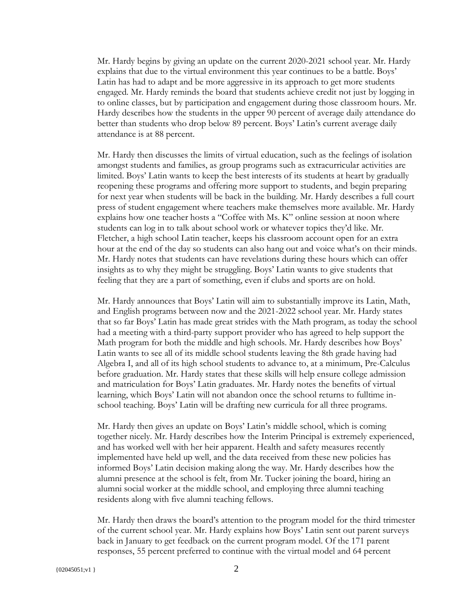Mr. Hardy begins by giving an update on the current 2020-2021 school year. Mr. Hardy explains that due to the virtual environment this year continues to be a battle. Boys' Latin has had to adapt and be more aggressive in its approach to get more students engaged. Mr. Hardy reminds the board that students achieve credit not just by logging in to online classes, but by participation and engagement during those classroom hours. Mr. Hardy describes how the students in the upper 90 percent of average daily attendance do better than students who drop below 89 percent. Boys' Latin's current average daily attendance is at 88 percent.

Mr. Hardy then discusses the limits of virtual education, such as the feelings of isolation amongst students and families, as group programs such as extracurricular activities are limited. Boys' Latin wants to keep the best interests of its students at heart by gradually reopening these programs and offering more support to students, and begin preparing for next year when students will be back in the building. Mr. Hardy describes a full court press of student engagement where teachers make themselves more available. Mr. Hardy explains how one teacher hosts a "Coffee with Ms. K" online session at noon where students can log in to talk about school work or whatever topics they'd like. Mr. Fletcher, a high school Latin teacher, keeps his classroom account open for an extra hour at the end of the day so students can also hang out and voice what's on their minds. Mr. Hardy notes that students can have revelations during these hours which can offer insights as to why they might be struggling. Boys' Latin wants to give students that feeling that they are a part of something, even if clubs and sports are on hold.

Mr. Hardy announces that Boys' Latin will aim to substantially improve its Latin, Math, and English programs between now and the 2021-2022 school year. Mr. Hardy states that so far Boys' Latin has made great strides with the Math program, as today the school had a meeting with a third-party support provider who has agreed to help support the Math program for both the middle and high schools. Mr. Hardy describes how Boys' Latin wants to see all of its middle school students leaving the 8th grade having had Algebra I, and all of its high school students to advance to, at a minimum, Pre-Calculus before graduation. Mr. Hardy states that these skills will help ensure college admission and matriculation for Boys' Latin graduates. Mr. Hardy notes the benefits of virtual learning, which Boys' Latin will not abandon once the school returns to fulltime inschool teaching. Boys' Latin will be drafting new curricula for all three programs.

Mr. Hardy then gives an update on Boys' Latin's middle school, which is coming together nicely. Mr. Hardy describes how the Interim Principal is extremely experienced, and has worked well with her heir apparent. Health and safety measures recently implemented have held up well, and the data received from these new policies has informed Boys' Latin decision making along the way. Mr. Hardy describes how the alumni presence at the school is felt, from Mr. Tucker joining the board, hiring an alumni social worker at the middle school, and employing three alumni teaching residents along with five alumni teaching fellows.

Mr. Hardy then draws the board's attention to the program model for the third trimester of the current school year. Mr. Hardy explains how Boys' Latin sent out parent surveys back in January to get feedback on the current program model. Of the 171 parent responses, 55 percent preferred to continue with the virtual model and 64 percent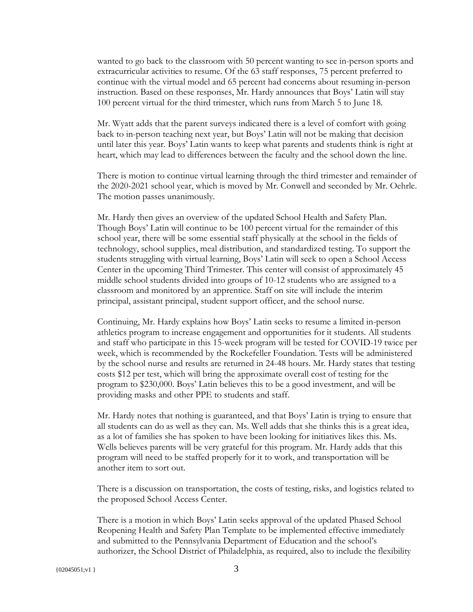wanted to go back to the classroom with 50 percent wanting to see in-person sports and extracurricular activities to resume. Of the 63 staff responses, 75 percent preferred to continue with the virtual model and 65 percent had concerns about resuming in-person instruction. Based on these responses, Mr. Hardy announces that Boys' Latin will stay 100 percent virtual for the third trimester, which runs from March 5 to June 18.

Mr. Wyatt adds that the parent surveys indicated there is a level of comfort with going back to in-person teaching next year, but Boys' Latin will not be making that decision until later this year. Boys' Latin wants to keep what parents and students think is right at heart, which may lead to differences between the faculty and the school down the line.

There is motion to continue virtual learning through the third trimester and remainder of the 2020-2021 school year, which is moved by Mr. Conwell and seconded by Mr. Oehrle. The motion passes unanimously.

Mr. Hardy then gives an overview of the updated School Health and Safety Plan. Though Boys' Latin will continue to be 100 percent virtual for the remainder of this school year, there will be some essential staff physically at the school in the fields of technology, school supplies, meal distribution, and standardized testing. To support the students struggling with virtual learning, Boys' Latin will seek to open a School Access Center in the upcoming Third Trimester. This center will consist of approximately 45 middle school students divided into groups of 10-12 students who are assigned to a classroom and monitored by an apprentice. Staff on site will include the interim principal, assistant principal, student support officer, and the school nurse.

Continuing, Mr. Hardy explains how Boys' Latin seeks to resume a limited in-person athletics program to increase engagement and opportunities for it students. All students and staff who participate in this 15-week program will be tested for COVID-19 twice per week, which is recommended by the Rockefeller Foundation. Tests will be administered by the school nurse and results are returned in 24-48 hours. Mr. Hardy states that testing costs \$12 per test, which will bring the approximate overall cost of testing for the program to \$230,000. Boys' Latin believes this to be a good investment, and will be providing masks and other PPE to students and staff.

Mr. Hardy notes that nothing is guaranteed, and that Boys' Latin is trying to ensure that all students can do as well as they can. Ms. Well adds that she thinks this is a great idea, as a lot of families she has spoken to have been looking for initiatives likes this. Ms. Wells believes parents will be very grateful for this program. Mr. Hardy adds that this program will need to be staffed properly for it to work, and transportation will be another item to sort out.

There is a discussion on transportation, the costs of testing, risks, and logistics related to the proposed School Access Center.

There is a motion in which Boys' Latin seeks approval of the updated Phased School Reopening Health and Safety Plan Template to be implemented effective immediately and submitted to the Pennsylvania Department of Education and the school's authorizer, the School District of Philadelphia, as required, also to include the flexibility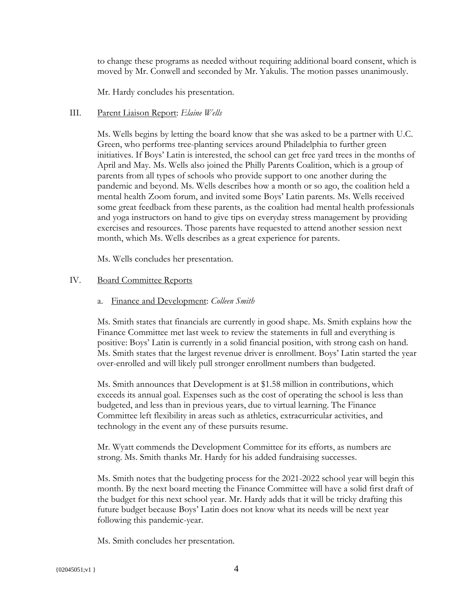to change these programs as needed without requiring additional board consent, which is moved by Mr. Conwell and seconded by Mr. Yakulis. The motion passes unanimously.

Mr. Hardy concludes his presentation.

## III. Parent Liaison Report: *Elaine Wells*

Ms. Wells begins by letting the board know that she was asked to be a partner with U.C. Green, who performs tree-planting services around Philadelphia to further green initiatives. If Boys' Latin is interested, the school can get free yard trees in the months of April and May. Ms. Wells also joined the Philly Parents Coalition, which is a group of parents from all types of schools who provide support to one another during the pandemic and beyond. Ms. Wells describes how a month or so ago, the coalition held a mental health Zoom forum, and invited some Boys' Latin parents. Ms. Wells received some great feedback from these parents, as the coalition had mental health professionals and yoga instructors on hand to give tips on everyday stress management by providing exercises and resources. Those parents have requested to attend another session next month, which Ms. Wells describes as a great experience for parents.

Ms. Wells concludes her presentation.

### IV. Board Committee Reports

### a. Finance and Development: *Colleen Smith*

Ms. Smith states that financials are currently in good shape. Ms. Smith explains how the Finance Committee met last week to review the statements in full and everything is positive: Boys' Latin is currently in a solid financial position, with strong cash on hand. Ms. Smith states that the largest revenue driver is enrollment. Boys' Latin started the year over-enrolled and will likely pull stronger enrollment numbers than budgeted.

Ms. Smith announces that Development is at \$1.58 million in contributions, which exceeds its annual goal. Expenses such as the cost of operating the school is less than budgeted, and less than in previous years, due to virtual learning. The Finance Committee left flexibility in areas such as athletics, extracurricular activities, and technology in the event any of these pursuits resume.

Mr. Wyatt commends the Development Committee for its efforts, as numbers are strong. Ms. Smith thanks Mr. Hardy for his added fundraising successes.

Ms. Smith notes that the budgeting process for the 2021-2022 school year will begin this month. By the next board meeting the Finance Committee will have a solid first draft of the budget for this next school year. Mr. Hardy adds that it will be tricky drafting this future budget because Boys' Latin does not know what its needs will be next year following this pandemic-year.

Ms. Smith concludes her presentation.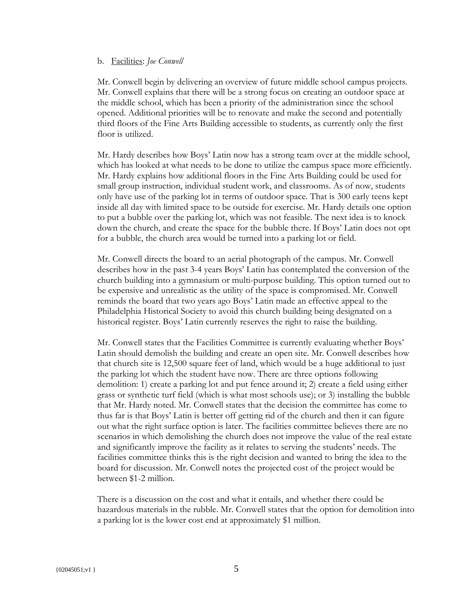#### b. Facilities: *Joe Conwell*

Mr. Conwell begin by delivering an overview of future middle school campus projects. Mr. Conwell explains that there will be a strong focus on creating an outdoor space at the middle school, which has been a priority of the administration since the school opened. Additional priorities will be to renovate and make the second and potentially third floors of the Fine Arts Building accessible to students, as currently only the first floor is utilized.

Mr. Hardy describes how Boys' Latin now has a strong team over at the middle school, which has looked at what needs to be done to utilize the campus space more efficiently. Mr. Hardy explains how additional floors in the Fine Arts Building could be used for small group instruction, individual student work, and classrooms. As of now, students only have use of the parking lot in terms of outdoor space. That is 300 early teens kept inside all day with limited space to be outside for exercise. Mr. Hardy details one option to put a bubble over the parking lot, which was not feasible. The next idea is to knock down the church, and create the space for the bubble there. If Boys' Latin does not opt for a bubble, the church area would be turned into a parking lot or field.

Mr. Conwell directs the board to an aerial photograph of the campus. Mr. Conwell describes how in the past 3-4 years Boys' Latin has contemplated the conversion of the church building into a gymnasium or multi-purpose building. This option turned out to be expensive and unrealistic as the utility of the space is compromised. Mr. Conwell reminds the board that two years ago Boys' Latin made an effective appeal to the Philadelphia Historical Society to avoid this church building being designated on a historical register. Boys' Latin currently reserves the right to raise the building.

Mr. Conwell states that the Facilities Committee is currently evaluating whether Boys' Latin should demolish the building and create an open site. Mr. Conwell describes how that church site is 12,500 square feet of land, which would be a huge additional to just the parking lot which the student have now. There are three options following demolition: 1) create a parking lot and put fence around it; 2) create a field using either grass or synthetic turf field (which is what most schools use); or 3) installing the bubble that Mr. Hardy noted. Mr. Conwell states that the decision the committee has come to thus far is that Boys' Latin is better off getting rid of the church and then it can figure out what the right surface option is later. The facilities committee believes there are no scenarios in which demolishing the church does not improve the value of the real estate and significantly improve the facility as it relates to serving the students' needs. The facilities committee thinks this is the right decision and wanted to bring the idea to the board for discussion. Mr. Conwell notes the projected cost of the project would be between \$1-2 million.

There is a discussion on the cost and what it entails, and whether there could be hazardous materials in the rubble. Mr. Conwell states that the option for demolition into a parking lot is the lower cost end at approximately \$1 million.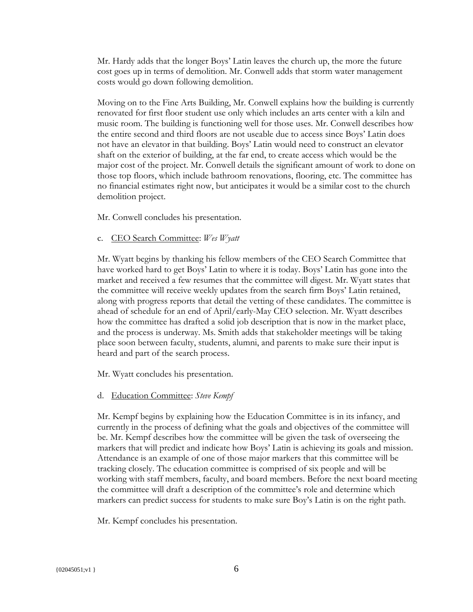Mr. Hardy adds that the longer Boys' Latin leaves the church up, the more the future cost goes up in terms of demolition. Mr. Conwell adds that storm water management costs would go down following demolition.

Moving on to the Fine Arts Building, Mr. Conwell explains how the building is currently renovated for first floor student use only which includes an arts center with a kiln and music room. The building is functioning well for those uses. Mr. Conwell describes how the entire second and third floors are not useable due to access since Boys' Latin does not have an elevator in that building. Boys' Latin would need to construct an elevator shaft on the exterior of building, at the far end, to create access which would be the major cost of the project. Mr. Conwell details the significant amount of work to done on those top floors, which include bathroom renovations, flooring, etc. The committee has no financial estimates right now, but anticipates it would be a similar cost to the church demolition project.

Mr. Conwell concludes his presentation.

c. CEO Search Committee: *Wes Wyatt*

Mr. Wyatt begins by thanking his fellow members of the CEO Search Committee that have worked hard to get Boys' Latin to where it is today. Boys' Latin has gone into the market and received a few resumes that the committee will digest. Mr. Wyatt states that the committee will receive weekly updates from the search firm Boys' Latin retained, along with progress reports that detail the vetting of these candidates. The committee is ahead of schedule for an end of April/early-May CEO selection. Mr. Wyatt describes how the committee has drafted a solid job description that is now in the market place, and the process is underway. Ms. Smith adds that stakeholder meetings will be taking place soon between faculty, students, alumni, and parents to make sure their input is heard and part of the search process.

Mr. Wyatt concludes his presentation.

# d. Education Committee: *Steve Kempf*

Mr. Kempf begins by explaining how the Education Committee is in its infancy, and currently in the process of defining what the goals and objectives of the committee will be. Mr. Kempf describes how the committee will be given the task of overseeing the markers that will predict and indicate how Boys' Latin is achieving its goals and mission. Attendance is an example of one of those major markers that this committee will be tracking closely. The education committee is comprised of six people and will be working with staff members, faculty, and board members. Before the next board meeting the committee will draft a description of the committee's role and determine which markers can predict success for students to make sure Boy's Latin is on the right path.

Mr. Kempf concludes his presentation.